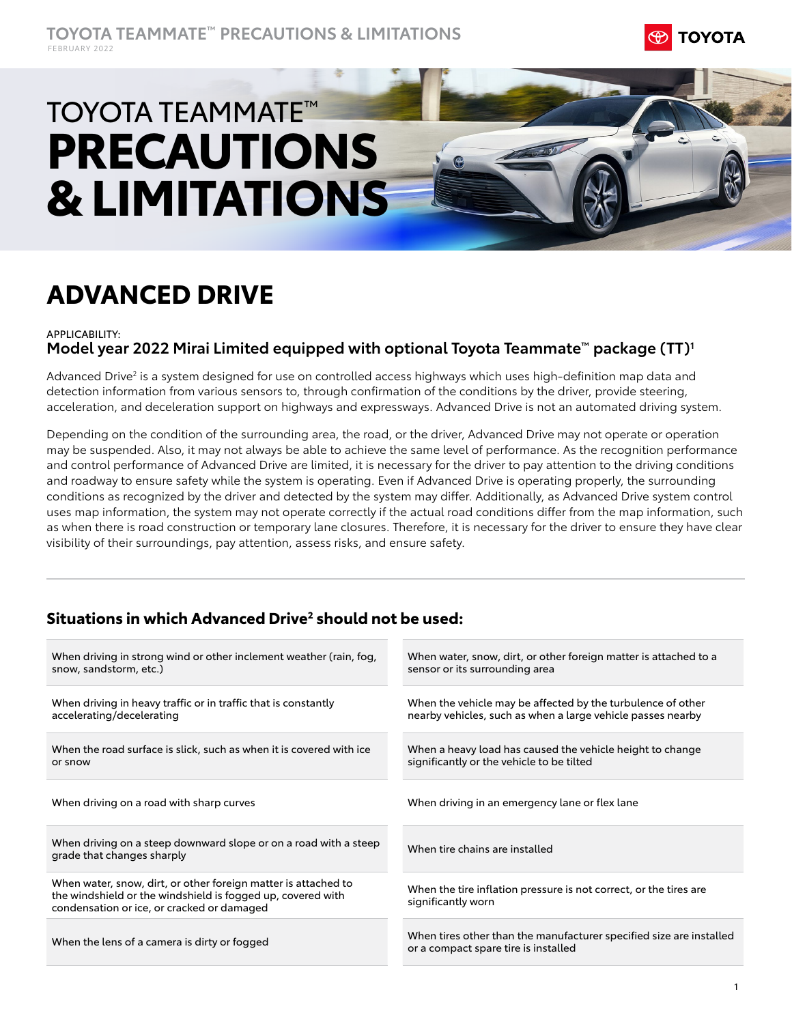

# TOYOTA TEAMMATE™ **PRECAUTIONS & LIMITATIONS**

## **ADVANCED DRIVE**

#### APPLICABILITY: **Model year 2022 Mirai Limited equipped with optional Toyota Teammate™ package (TT)1**

Advanced Drive<sup>2</sup> is a system designed for use on controlled access highways which uses high-definition map data and detection information from various sensors to, through confirmation of the conditions by the driver, provide steering, acceleration, and deceleration support on highways and expressways. Advanced Drive is not an automated driving system.

Depending on the condition of the surrounding area, the road, or the driver, Advanced Drive may not operate or operation may be suspended. Also, it may not always be able to achieve the same level of performance. As the recognition performance and control performance of Advanced Drive are limited, it is necessary for the driver to pay attention to the driving conditions and roadway to ensure safety while the system is operating. Even if Advanced Drive is operating properly, the surrounding conditions as recognized by the driver and detected by the system may differ. Additionally, as Advanced Drive system control uses map information, the system may not operate correctly if the actual road conditions differ from the map information, such as when there is road construction or temporary lane closures. Therefore, it is necessary for the driver to ensure they have clear visibility of their surroundings, pay attention, assess risks, and ensure safety.

## **Situations in which Advanced Drive2 should not be used:**

| When driving in strong wind or other inclement weather (rain, fog,<br>snow, sandstorm, etc.)                                                                                | When water, snow, dirt, or other foreign matter is attached to a<br>sensor or its surrounding area                         |
|-----------------------------------------------------------------------------------------------------------------------------------------------------------------------------|----------------------------------------------------------------------------------------------------------------------------|
| When driving in heavy traffic or in traffic that is constantly<br>accelerating/decelerating                                                                                 | When the vehicle may be affected by the turbulence of other<br>nearby vehicles, such as when a large vehicle passes nearby |
| When the road surface is slick, such as when it is covered with ice<br>or snow                                                                                              | When a heavy load has caused the vehicle height to change<br>significantly or the vehicle to be tilted                     |
| When driving on a road with sharp curves                                                                                                                                    | When driving in an emergency lane or flex lane                                                                             |
| When driving on a steep downward slope or on a road with a steep<br>grade that changes sharply                                                                              | When tire chains are installed                                                                                             |
| When water, snow, dirt, or other foreign matter is attached to<br>the windshield or the windshield is fogged up, covered with<br>condensation or ice, or cracked or damaged | When the tire inflation pressure is not correct, or the tires are<br>significantly worn                                    |
| When the lens of a camera is dirty or fogged                                                                                                                                | When tires other than the manufacturer specified size are installed<br>or a compact spare tire is installed                |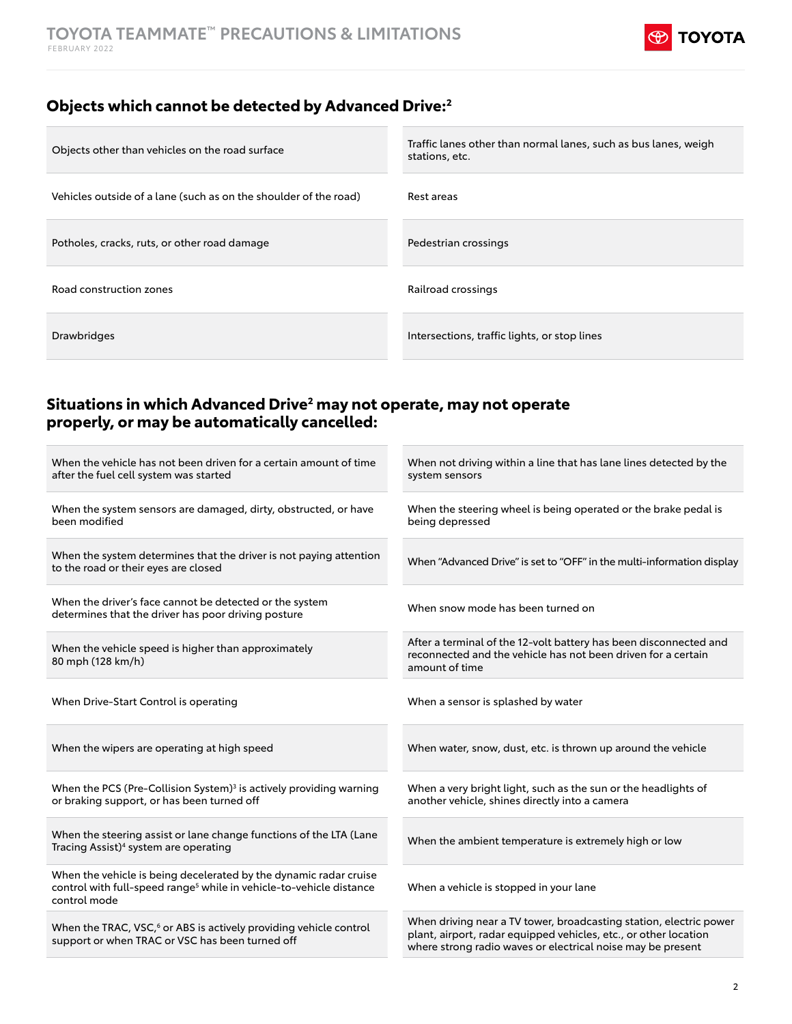

## **Objects which cannot be detected by Advanced Drive:2**

| Objects other than vehicles on the road surface                  | Traffic lanes other than normal lanes, such as bus lanes, weigh<br>stations, etc. |
|------------------------------------------------------------------|-----------------------------------------------------------------------------------|
| Vehicles outside of a lane (such as on the shoulder of the road) | Rest areas                                                                        |
| Potholes, cracks, ruts, or other road damage                     | Pedestrian crossings                                                              |
| Road construction zones                                          | Railroad crossings                                                                |
| <b>Drawbridges</b>                                               | Intersections, traffic lights, or stop lines                                      |
|                                                                  |                                                                                   |

## **Situations in which Advanced Drive2 may not operate, may not operate properly, or may be automatically cancelled:**

| When the vehicle has not been driven for a certain amount of time<br>after the fuel cell system was started                                                          | When not driving within a line that has lane lines detected by the<br>system sensors                                                                                                                  |
|----------------------------------------------------------------------------------------------------------------------------------------------------------------------|-------------------------------------------------------------------------------------------------------------------------------------------------------------------------------------------------------|
| When the system sensors are damaged, dirty, obstructed, or have<br>been modified                                                                                     | When the steering wheel is being operated or the brake pedal is<br>being depressed                                                                                                                    |
| When the system determines that the driver is not paying attention<br>to the road or their eyes are closed                                                           | When "Advanced Drive" is set to "OFF" in the multi-information display                                                                                                                                |
| When the driver's face cannot be detected or the system<br>determines that the driver has poor driving posture                                                       | When snow mode has been turned on                                                                                                                                                                     |
| When the vehicle speed is higher than approximately<br>80 mph (128 km/h)                                                                                             | After a terminal of the 12-volt battery has been disconnected and<br>reconnected and the vehicle has not been driven for a certain<br>amount of time                                                  |
| When Drive-Start Control is operating                                                                                                                                | When a sensor is splashed by water                                                                                                                                                                    |
| When the wipers are operating at high speed                                                                                                                          | When water, snow, dust, etc. is thrown up around the vehicle                                                                                                                                          |
| When the PCS (Pre-Collision System) <sup>3</sup> is actively providing warning<br>or braking support, or has been turned off                                         | When a very bright light, such as the sun or the headlights of<br>another vehicle, shines directly into a camera                                                                                      |
| When the steering assist or lane change functions of the LTA (Lane<br>Tracing Assist) <sup>4</sup> system are operating                                              | When the ambient temperature is extremely high or low                                                                                                                                                 |
| When the vehicle is being decelerated by the dynamic radar cruise<br>control with full-speed range <sup>5</sup> while in vehicle-to-vehicle distance<br>control mode | When a vehicle is stopped in your lane                                                                                                                                                                |
| When the TRAC, VSC, <sup>6</sup> or ABS is actively providing vehicle control<br>support or when TRAC or VSC has been turned off                                     | When driving near a TV tower, broadcasting station, electric power<br>plant, airport, radar equipped vehicles, etc., or other location<br>where strong radio waves or electrical noise may be present |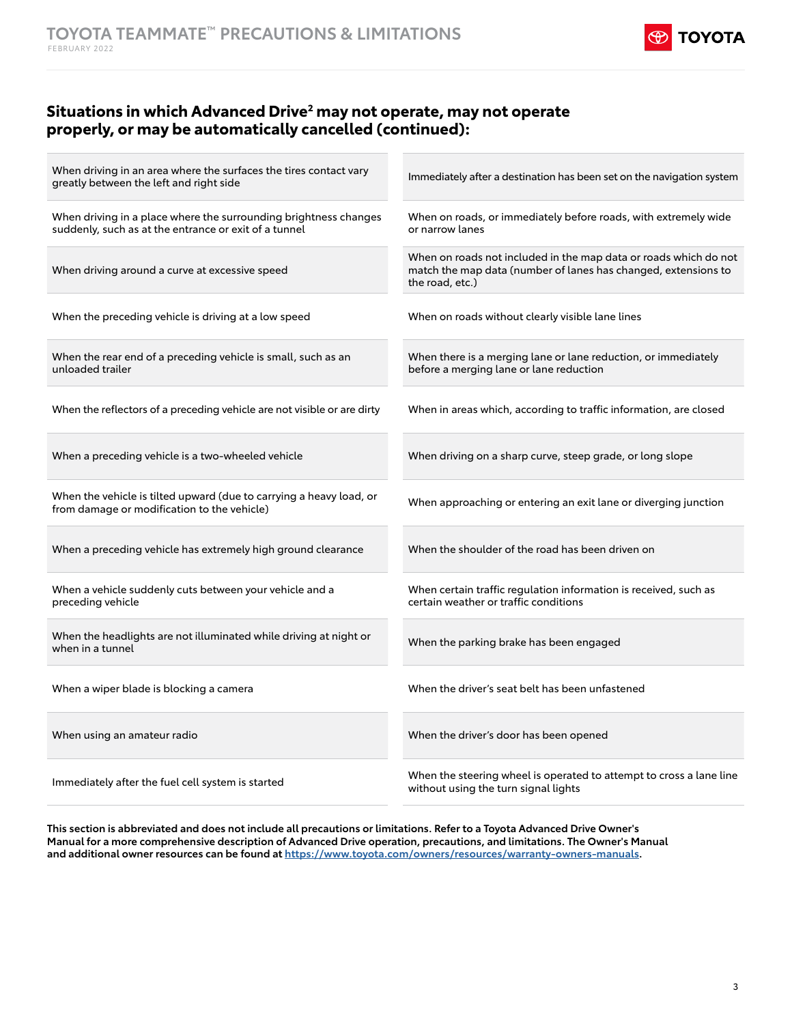

## **Situations in which Advanced Drive2 may not operate, may not operate properly, or may be automatically cancelled (continued):**

| When driving in an area where the surfaces the tires contact vary<br>greatly between the left and right side              | Immediately after a destination has been set on the navigation system                                                                                 |
|---------------------------------------------------------------------------------------------------------------------------|-------------------------------------------------------------------------------------------------------------------------------------------------------|
| When driving in a place where the surrounding brightness changes<br>suddenly, such as at the entrance or exit of a tunnel | When on roads, or immediately before roads, with extremely wide<br>or narrow lanes                                                                    |
| When driving around a curve at excessive speed                                                                            | When on roads not included in the map data or roads which do not<br>match the map data (number of lanes has changed, extensions to<br>the road, etc.) |
| When the preceding vehicle is driving at a low speed                                                                      | When on roads without clearly visible lane lines                                                                                                      |
| When the rear end of a preceding vehicle is small, such as an<br>unloaded trailer                                         | When there is a merging lane or lane reduction, or immediately<br>before a merging lane or lane reduction                                             |
| When the reflectors of a preceding vehicle are not visible or are dirty                                                   | When in areas which, according to traffic information, are closed                                                                                     |
| When a preceding vehicle is a two-wheeled vehicle                                                                         | When driving on a sharp curve, steep grade, or long slope                                                                                             |
| When the vehicle is tilted upward (due to carrying a heavy load, or<br>from damage or modification to the vehicle)        | When approaching or entering an exit lane or diverging junction                                                                                       |
| When a preceding vehicle has extremely high ground clearance                                                              | When the shoulder of the road has been driven on                                                                                                      |
| When a vehicle suddenly cuts between your vehicle and a<br>preceding vehicle                                              | When certain traffic regulation information is received, such as<br>certain weather or traffic conditions                                             |
| When the headlights are not illuminated while driving at night or<br>when in a tunnel                                     | When the parking brake has been engaged                                                                                                               |
| When a wiper blade is blocking a camera                                                                                   | When the driver's seat belt has been unfastened                                                                                                       |
| When using an amateur radio                                                                                               | When the driver's door has been opened                                                                                                                |
| Immediately after the fuel cell system is started                                                                         | When the steering wheel is operated to attempt to cross a lane line<br>without using the turn signal lights                                           |

**This section is abbreviated and does not include all precautions or limitations. Refer to a Toyota Advanced Drive Owner's Manual for a more comprehensive description of Advanced Drive operation, precautions, and limitations. The Owner's M[an](https://www.toyota.com/owners/resources/warranty-owners-manuals )ual and additional owner resources can be found at<https://www.toyota.com/owners/resources/warranty-owners-manuals>.**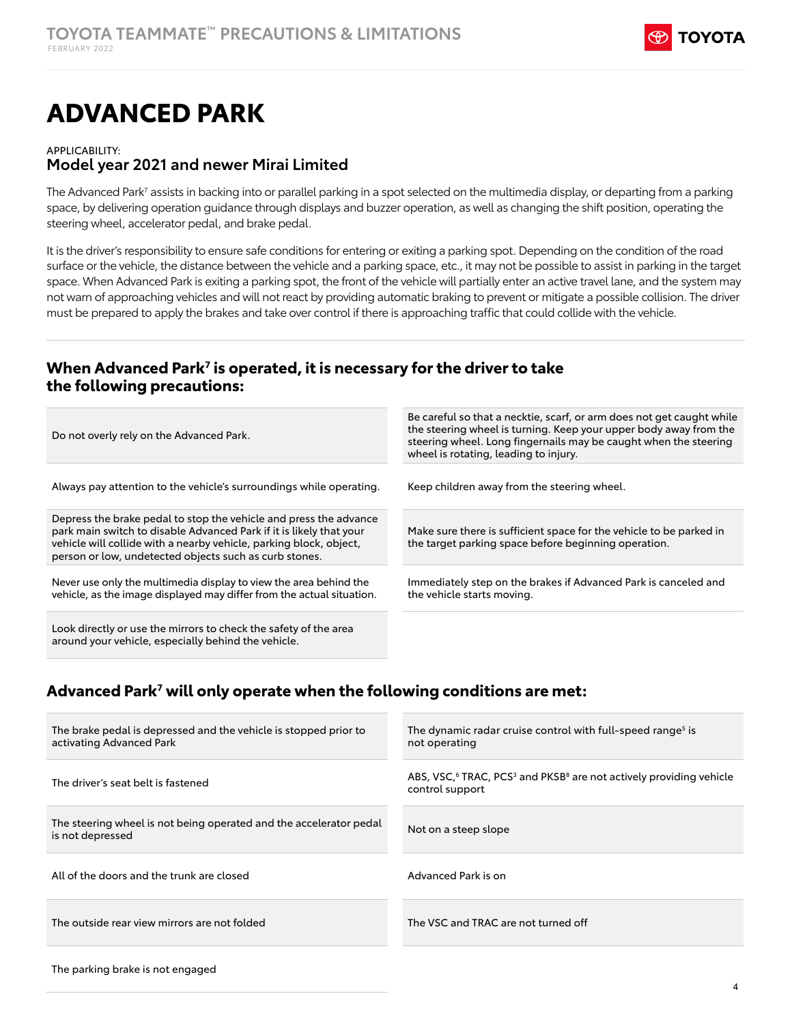

## **ADVANCED PARK**

#### APPLICABILITY:

#### **Model year 2021 and newer Mirai Limited**

The Advanced Park<sup>7</sup> assists in backing into or parallel parking in a spot selected on the multimedia display, or departing from a parking space, by delivering operation guidance through displays and buzzer operation, as well as changing the shift position, operating the steering wheel, accelerator pedal, and brake pedal.

It is the driver's responsibility to ensure safe conditions for entering or exiting a parking spot. Depending on the condition of the road surface or the vehicle, the distance between the vehicle and a parking space, etc., it may not be possible to assist in parking in the target space. When Advanced Park is exiting a parking spot, the front of the vehicle will partially enter an active travel lane, and the system may not warn of approaching vehicles and will not react by providing automatic braking to prevent or mitigate a possible collision. The driver must be prepared to apply the brakes and take over control if there is approaching traffic that could collide with the vehicle.

## **When Advanced Park7 is operated, it is necessary for the driver to take the following precautions:**

| Do not overly rely on the Advanced Park.                                                                                                                                                                                                                                 | Be careful so that a necktie, scarf, or arm does not get caught while<br>the steering wheel is turning. Keep your upper body away from the<br>steering wheel. Long fingernails may be caught when the steering<br>wheel is rotating, leading to injury. |
|--------------------------------------------------------------------------------------------------------------------------------------------------------------------------------------------------------------------------------------------------------------------------|---------------------------------------------------------------------------------------------------------------------------------------------------------------------------------------------------------------------------------------------------------|
| Always pay attention to the vehicle's surroundings while operating.                                                                                                                                                                                                      | Keep children away from the steering wheel.                                                                                                                                                                                                             |
| Depress the brake pedal to stop the vehicle and press the advance<br>park main switch to disable Advanced Park if it is likely that your<br>vehicle will collide with a nearby vehicle, parking block, object,<br>person or low, undetected objects such as curb stones. | Make sure there is sufficient space for the vehicle to be parked in<br>the target parking space before beginning operation.                                                                                                                             |
| Never use only the multimedia display to view the area behind the<br>vehicle, as the image displayed may differ from the actual situation.                                                                                                                               | Immediately step on the brakes if Advanced Park is canceled and<br>the vehicle starts moving.                                                                                                                                                           |
| Look directly or use the mirrors to check the safety of the area<br>around your vehicle, especially behind the vehicle.                                                                                                                                                  |                                                                                                                                                                                                                                                         |

## **Advanced Park7 will only operate when the following conditions are met:**

| The brake pedal is depressed and the vehicle is stopped prior to<br>activating Advanced Park | The dynamic radar cruise control with full-speed range <sup>5</sup> is<br>not operating                          |
|----------------------------------------------------------------------------------------------|------------------------------------------------------------------------------------------------------------------|
| The driver's seat belt is fastened                                                           | ABS, VSC, $6$ TRAC, PCS <sup>3</sup> and PKSB <sup>8</sup> are not actively providing vehicle<br>control support |
| The steering wheel is not being operated and the accelerator pedal<br>is not depressed       | Not on a steep slope                                                                                             |
| All of the doors and the trunk are closed                                                    | Advanced Park is on                                                                                              |
| The outside rear view mirrors are not folded                                                 | The VSC and TRAC are not turned off                                                                              |
|                                                                                              |                                                                                                                  |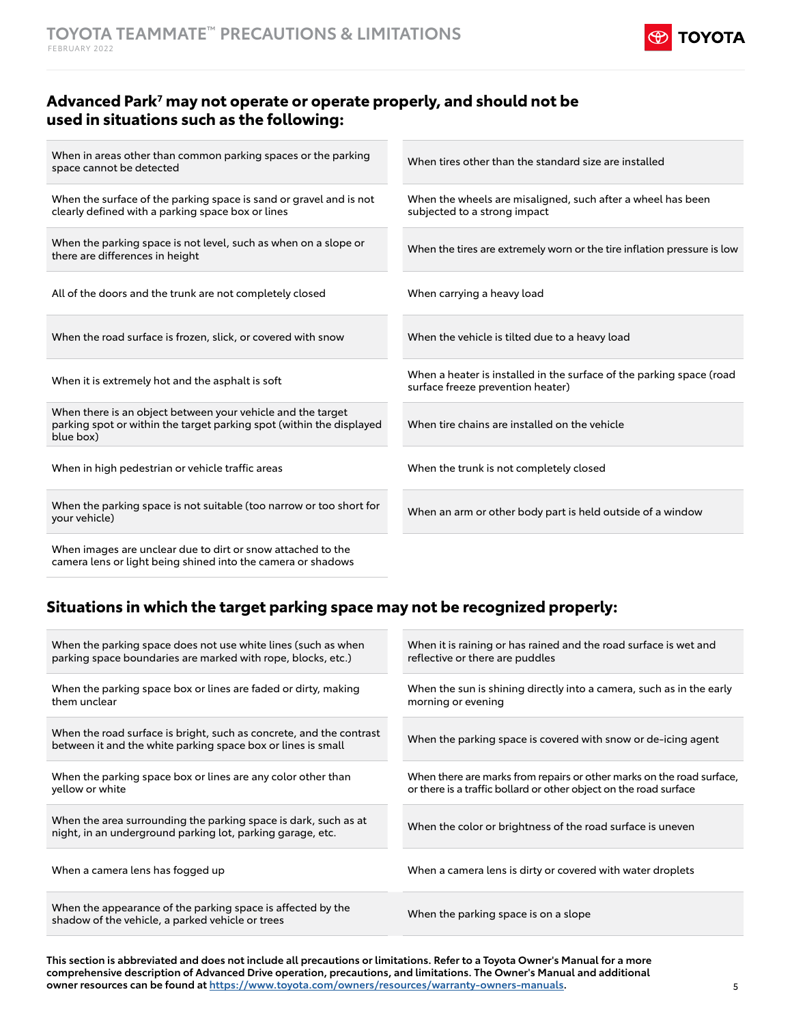

## **Advanced Park7 may not operate or operate properly, and should not be used in situations such as the following:**

When in areas other than common parking spaces or the parking when in areas other than common parking spaces or the parking when tires other than the standard size are installed<br>space cannot be detected When the surface of the parking space is sand or gravel and is not clearly defined with a parking space box or lines When the wheels are misaligned, such after a wheel has been subjected to a strong impact When the parking space is not level, such as when on a slope or When the tires are extremely worn or the tire inflation pressure is low<br>there are differences in height All of the doors and the trunk are not completely closed When carrying a heavy load When the road surface is frozen, slick, or covered with snow When the vehicle is tilted due to a heavy load When a heater is installed in the surface of the parking space (road<br>
When it is extremely hot and the asphalt is soft<br>
when it is extremely hot and the asphalt is soft<br>
when a heater is installed in the surface of the par surface freeze prevention heater) When there is an object between your vehicle and the target parking spot or within the target parking spot (within the displayed blue box) When tire chains are installed on the vehicle When in high pedestrian or vehicle traffic areas When the trunk is not completely closed When the parking space is not suitable (too narrow or too short for When the parking space is not suitable (too harrow or too short for When an arm or other body part is held outside of a window<br>your vehicle) When images are unclear due to dirt or snow attached to the

camera lens or light being shined into the camera or shadows

## **Situations in which the target parking space may not be recognized properly:**

| When the parking space does not use white lines (such as when<br>parking space boundaries are marked with rope, blocks, etc.)       | When it is raining or has rained and the road surface is wet and<br>reflective or there are puddles                                        |
|-------------------------------------------------------------------------------------------------------------------------------------|--------------------------------------------------------------------------------------------------------------------------------------------|
| When the parking space box or lines are faded or dirty, making<br>them unclear                                                      | When the sun is shining directly into a camera, such as in the early<br>morning or evening                                                 |
| When the road surface is bright, such as concrete, and the contrast<br>between it and the white parking space box or lines is small | When the parking space is covered with snow or de-icing agent                                                                              |
| When the parking space box or lines are any color other than<br>yellow or white                                                     | When there are marks from repairs or other marks on the road surface,<br>or there is a traffic bollard or other object on the road surface |
| When the area surrounding the parking space is dark, such as at<br>night, in an underground parking lot, parking garage, etc.       | When the color or brightness of the road surface is uneven                                                                                 |
| When a camera lens has fogged up                                                                                                    | When a camera lens is dirty or covered with water droplets                                                                                 |
| When the appearance of the parking space is affected by the<br>shadow of the vehicle, a parked vehicle or trees                     | When the parking space is on a slope                                                                                                       |

**This section is abbreviated and does not include all precautions or limitations. Refer to a Toyota Owner's Manual for a more comprehensive description of Advanced Drive operation, precautions, and limitations. The Owner's Manual and additional owner resources can be found at [https://www.toyota.com/owners/resources/warranty-owners-manuals.](https://www.toyota.com/owners/resources/warranty-owners-manuals)**